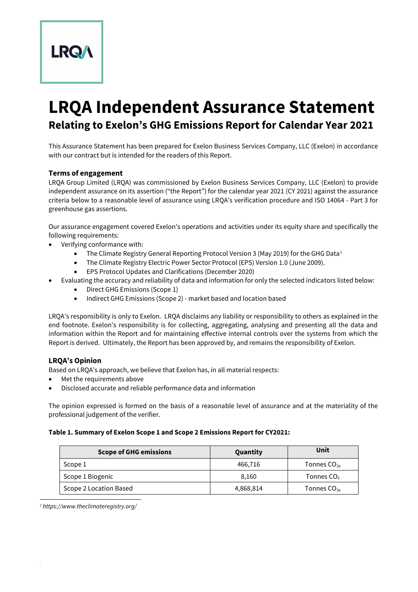**LRQA Independent Assurance Statement Relating to Exelon's GHG Emissions Report for Calendar Year 2021**

This Assurance Statement has been prepared for Exelon Business Services Company, LLC (Exelon) in accordance with our contract but is intended for the readers of this Report.

# **Terms of engagement**

**LRQA** 

LRQA Group Limited (LRQA) was commissioned by Exelon Business Services Company, LLC (Exelon) to provide independent assurance on its assertion ("the Report") for the calendar year 2021 (CY 2021) against the assurance criteria below to a reasonable level of assurance using LRQA's verification procedure and ISO 14064 - Part 3 for greenhouse gas assertions.

Our assurance engagement covered Exelon's operations and activities under its equity share and specifically the following requirements:

- Verifying conformance with:
	- The Climate Registry General Reporting Protocol Version 3 (May 2019) for the GHG Data<sup>1</sup>
	- The Climate Registry Electric Power Sector Protocol (EPS) Version 1.0 (June 2009).
	- EPS Protocol Updates and Clarifications (December 2020)
	- Evaluating the accuracy and reliability of data and information for only the selected indicators listed below:
		- Direct GHG Emissions (Scope 1)
		- Indirect GHG Emissions (Scope 2) market based and location based

LRQA's responsibility is only to Exelon. LRQA disclaims any liability or responsibility to others as explained in the end footnote. Exelon's responsibility is for collecting, aggregating, analysing and presenting all the data and information within the Report and for maintaining effective internal controls over the systems from which the Report is derived. Ultimately, the Report has been approved by, and remains the responsibility of Exelon.

## **LRQA's Opinion**

Based on LRQA's approach, we believe that Exelon has, in all material respects:

- Met the requirements above
- Disclosed accurate and reliable performance data and information

The opinion expressed is formed on the basis of a reasonable level of assurance and at the materiality of the professional judgement of the verifier.

## **Table 1. Summary of Exelon Scope 1 and Scope 2 Emissions Report for CY2021:**

| <b>Scope of GHG emissions</b> | Quantity  | Unit                   |
|-------------------------------|-----------|------------------------|
| Scope 1                       | 466.716   | Tonnes $CO_{2e}$       |
| Scope 1 Biogenic              | 8.160     | Tonnes CO <sub>2</sub> |
| Scope 2 Location Based        | 4,868,814 | Tonnes $CO_{2e}$       |

*<sup>1</sup> https://www.theclimateregistry.org/*

.